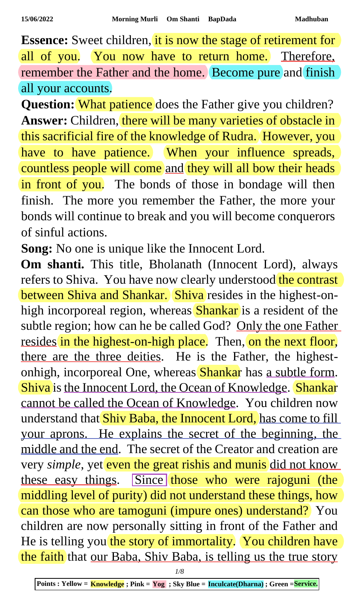**Essence:** Sweet children, it is now the stage of retirement for all of you. You now have to return home. Therefore, remember the Father and the home. Become pure and finish all your accounts.

**Question:** What patience does the Father give you children? **Answer:** Children, there will be many varieties of obstacle in this sacrificial fire of the knowledge of Rudra. However, you have to have patience. When your influence spreads, countless people will come and they will all bow their heads in front of you. The bonds of those in bondage will then finish. The more you remember the Father, the more your bonds will continue to break and you will become conquerors of sinful actions.

**Song:** No one is unique like the Innocent Lord.

**Om shanti.** This title, Bholanath (Innocent Lord), always refers to Shiva. You have now clearly understood the contrast between Shiva and Shankar. Shiva resides in the highest-onhigh incorporeal region, whereas Shankar is a resident of the subtle region; how can he be called God? Only the one Father resides in the highest-on-high place. Then, on the next floor, there are the three deities. He is the Father, the highestonhigh, incorporeal One, whereas Shankar has a subtle form. Shiva is the Innocent Lord, the Ocean of Knowledge. Shankar cannot be called the Ocean of Knowledge. You children now understand that Shiv Baba, the Innocent Lord, has come to fill your aprons. He explains the secret of the beginning, the middle and the end. The secret of the Creator and creation are very *simple*, yet even the great rishis and munis did not know these easy things. Since those who were rajoguni (the middling level of purity) did not understand these things, how can those who are tamoguni (impure ones) understand? You children are now personally sitting in front of the Father and He is telling you the story of immortality. You children have the faith that our Baba, Shiv Baba, is telling us the true story

*1/8*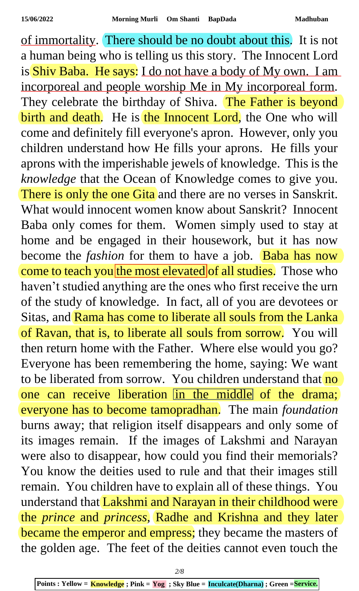of immortality. There should be no doubt about this. It is not a human being who is telling us this story. The Innocent Lord is Shiv Baba. He says: I do not have a body of My own. I am incorporeal and people worship Me in My incorporeal form. They celebrate the birthday of Shiva. The Father is beyond birth and death. He is the Innocent Lord, the One who will come and definitely fill everyone's apron. However, only you children understand how He fills your aprons. He fills your aprons with the imperishable jewels of knowledge. This is the *knowledge* that the Ocean of Knowledge comes to give you. There is only the one Gita and there are no verses in Sanskrit. What would innocent women know about Sanskrit? Innocent Baba only comes for them. Women simply used to stay at home and be engaged in their housework, but it has now become the *fashion* for them to have a job. Baba has now come to teach you the most elevated of all studies. Those who haven't studied anything are the ones who first receive the urn of the study of knowledge. In fact, all of you are devotees or Sitas, and Rama has come to liberate all souls from the Lanka of Ravan, that is, to liberate all souls from sorrow. You will then return home with the Father. Where else would you go? Everyone has been remembering the home, saying: We want to be liberated from sorrow. You children understand that no one can receive liberation in the middle of the drama; everyone has to become tamopradhan. The main *foundation* burns away; that religion itself disappears and only some of its images remain. If the images of Lakshmi and Narayan were also to disappear, how could you find their memorials? You know the deities used to rule and that their images still remain. You children have to explain all of these things. You understand that Lakshmi and Narayan in their childhood were the *prince* and *princess*, Radhe and Krishna and they later became the emperor and empress; they became the masters of the golden age. The feet of the deities cannot even touch the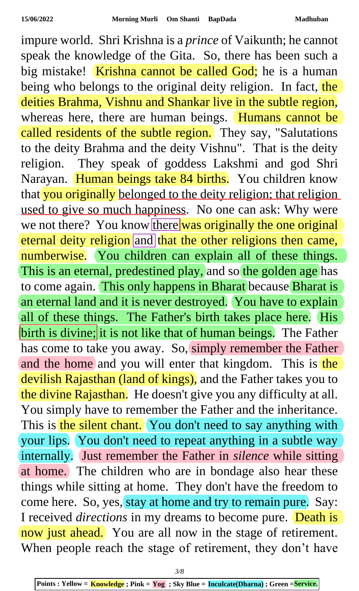impure world. Shri Krishna is a *prince* of Vaikunth; he cannot speak the knowledge of the Gita. So, there has been such a big mistake! Krishna cannot be called God; he is a human being who belongs to the original deity religion. In fact, the deities Brahma, Vishnu and Shankar live in the subtle region, whereas here, there are human beings. Humans cannot be called residents of the subtle region. They say, "Salutations to the deity Brahma and the deity Vishnu". That is the deity religion. They speak of goddess Lakshmi and god Shri Narayan. Human beings take 84 births. You children know that you originally belonged to the deity religion; that religion used to give so much happiness. No one can ask: Why were we not there? You know there was originally the one original eternal deity religion and that the other religions then came, numberwise. You children can explain all of these things. This is an eternal, predestined play, and so the golden age has to come again. This only happens in Bharat because Bharat is an eternal land and it is never destroyed. You have to explain all of these things. The Father's birth takes place here. His birth is divine; it is not like that of human beings. The Father has come to take you away. So, simply remember the Father and the home and you will enter that kingdom. This is the devilish Rajasthan (land of kings), and the Father takes you to the divine Rajasthan. He doesn't give you any difficulty at all. You simply have to remember the Father and the inheritance. This is the silent chant. You don't need to say anything with your lips. You don't need to repeat anything in a subtle way internally. Just remember the Father in *silence* while sitting at home. The children who are in bondage also hear these things while sitting at home. They don't have the freedom to come here. So, yes, stay at home and try to remain pure. Say: I received *directions* in my dreams to become pure. Death is now just ahead. You are all now in the stage of retirement. When people reach the stage of retirement, they don't have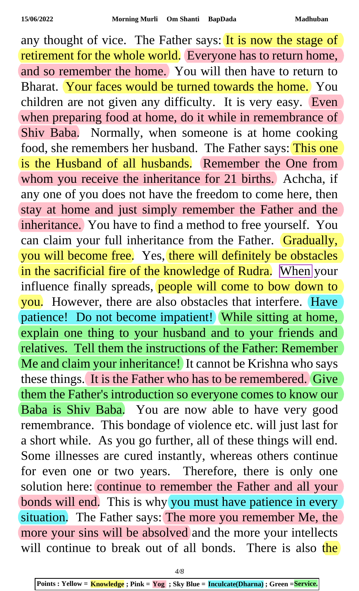any thought of vice. The Father says: It is now the stage of retirement for the whole world. Everyone has to return home, and so remember the home. You will then have to return to Bharat. Your faces would be turned towards the home. You children are not given any difficulty. It is very easy. Even when preparing food at home, do it while in remembrance of Shiv Baba. Normally, when someone is at home cooking food, she remembers her husband. The Father says: This one is the Husband of all husbands. Remember the One from whom you receive the inheritance for 21 births. Achcha, if any one of you does not have the freedom to come here, then stay at home and just simply remember the Father and the inheritance. You have to find a method to free yourself. You can claim your full inheritance from the Father. Gradually, you will become free. Yes, there will definitely be obstacles in the sacrificial fire of the knowledge of Rudra. When your influence finally spreads, people will come to bow down to you. However, there are also obstacles that interfere. Have patience! Do not become impatient! While sitting at home, explain one thing to your husband and to your friends and relatives. Tell them the instructions of the Father: Remember Me and claim your inheritance! It cannot be Krishna who says these things. It is the Father who has to be remembered. Give them the Father's introduction so everyone comes to know our Baba is Shiv Baba. You are now able to have very good remembrance. This bondage of violence etc. will just last for a short while. As you go further, all of these things will end. Some illnesses are cured instantly, whereas others continue for even one or two years. Therefore, there is only one solution here: continue to remember the Father and all your bonds will end. This is why you must have patience in every situation. The Father says: The more you remember Me, the more your sins will be absolved and the more your intellects will continue to break out of all bonds. There is also the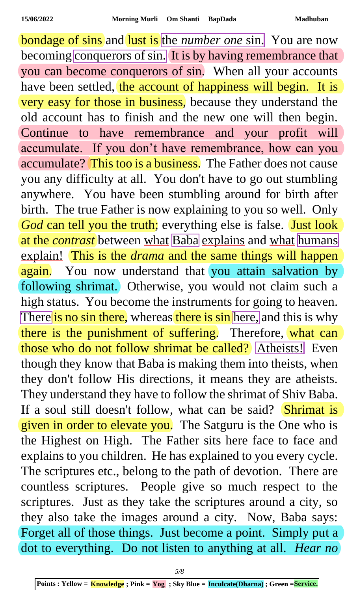**bondage of sins** and lust is the *number one* sin. You are now becoming conquerors of sin. It is by having remembrance that you can become conquerors of sin. When all your accounts have been settled, the account of happiness will begin. It is very easy for those in business, because they understand the old account has to finish and the new one will then begin. Continue to have remembrance and your profit will accumulate. If you don't have remembrance, how can you accumulate? This too is a business. The Father does not cause you any difficulty at all. You don't have to go out stumbling anywhere. You have been stumbling around for birth after birth. The true Father is now explaining to you so well. Only *God* can tell you the truth; everything else is false. Just look at the *contrast* between what Baba explains and what humans explain! This is the *drama* and the same things will happen again. You now understand that you attain salvation by following shrimat. Otherwise, you would not claim such a high status. You become the instruments for going to heaven. There is no sin there, whereas there is sin here, and this is why there is the punishment of suffering. Therefore, what can those who do not follow shrimat be called? Atheists! Even though they know that Baba is making them into theists, when they don't follow His directions, it means they are atheists. They understand they have to follow the shrimat of Shiv Baba. If a soul still doesn't follow, what can be said? Shrimat is given in order to elevate you. The Satguru is the One who is the Highest on High. The Father sits here face to face and explains to you children. He has explained to you every cycle. The scriptures etc., belong to the path of devotion. There are countless scriptures. People give so much respect to the scriptures. Just as they take the scriptures around a city, so they also take the images around a city. Now, Baba says: Forget all of those things. Just become a point. Simply put a dot to everything. Do not listen to anything at all. *Hear no*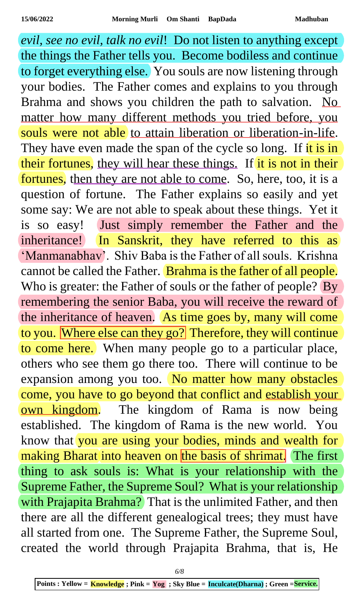*evil, see no evil, talk no evil*! Do not listen to anything except the things the Father tells you. Become bodiless and continue to forget everything else. You souls are now listening through your bodies. The Father comes and explains to you through Brahma and shows you children the path to salvation. No matter how many different methods you tried before, you souls were not able to attain liberation or liberation-in-life. They have even made the span of the cycle so long. If it is in their fortunes, they will hear these things. If it is not in their fortunes, then they are not able to come. So, here, too, it is a question of fortune. The Father explains so easily and yet some say: We are not able to speak about these things. Yet it is so easy! Just simply remember the Father and the inheritance! In Sanskrit, they have referred to this as 'Manmanabhav'. Shiv Baba is the Father of all souls. Krishna cannot be called the Father. Brahma is the father of all people. Who is greater: the Father of souls or the father of people? By remembering the senior Baba, you will receive the reward of the inheritance of heaven. As time goes by, many will come to you. Where else can they go? Therefore, they will continue to come here. When many people go to a particular place, others who see them go there too. There will continue to be expansion among you too. No matter how many obstacles come, you have to go beyond that conflict and establish your own kingdom. The kingdom of Rama is now being established. The kingdom of Rama is the new world. You know that you are using your bodies, minds and wealth for making Bharat into heaven on the basis of shrimat. The first thing to ask souls is: What is your relationship with the Supreme Father, the Supreme Soul? What is your relationship with Prajapita Brahma? That is the unlimited Father, and then there are all the different genealogical trees; they must have all started from one. The Supreme Father, the Supreme Soul, created the world through Prajapita Brahma, that is, He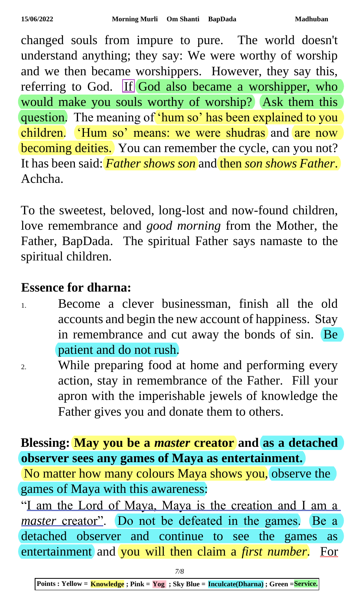changed souls from impure to pure. The world doesn't understand anything; they say: We were worthy of worship and we then became worshippers. However, they say this, referring to God. If God also became a worshipper, who would make you souls worthy of worship? Ask them this question. The meaning of 'hum so' has been explained to you children. 'Hum so' means: we were shudras and are now becoming deities. You can remember the cycle, can you not? It has been said: *Father shows son* and then *son shows Father*. Achcha.

To the sweetest, beloved, long-lost and now-found children, love remembrance and *good morning* from the Mother, the Father, BapDada. The spiritual Father says namaste to the spiritual children.

## **Essence for dharna:**

- 1. Become a clever businessman, finish all the old accounts and begin the new account of happiness. Stay in remembrance and cut away the bonds of sin. Be patient and do not rush.
- 2. While preparing food at home and performing every action, stay in remembrance of the Father. Fill your apron with the imperishable jewels of knowledge the Father gives you and donate them to others.

## **Blessing: May you be a** *master* **creator and as a detached observer sees any games of Maya as entertainment.**

No matter how many colours Maya shows you, observe the games of Maya with this awareness:

"I am the Lord of Maya, Maya is the creation and I am a *master* creator". Do not be defeated in the games. Be a detached observer and continue to see the games as entertainment and you will then claim a *first number*. For

**Points : Yellow = Knowledge ; Pink = Yog ; Sky Blue = Inculcate(Dharna) ; Green =Service.**